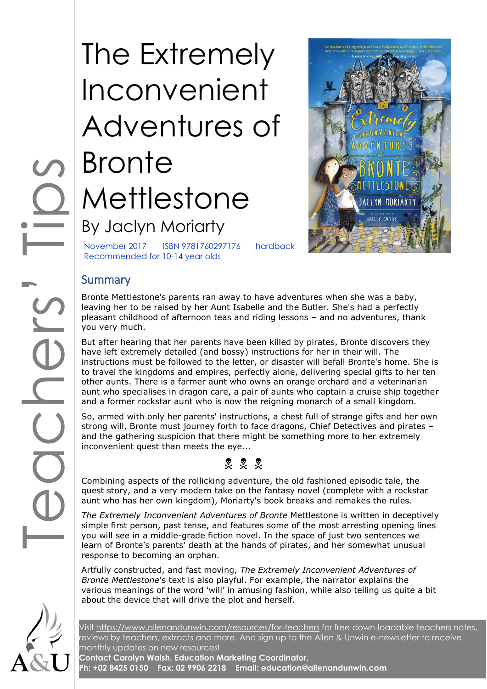# COODSITES The Extremely Inconvenient Adventures of **Bronte** Mettlestone By Jaclyn Moriarty



November 2017 ISBN 9781760297176 hardback Recommended for 10-14 year olds

## **Summary**

Bronte Mettlestone's parents ran away to have adventures when she was a baby, leaving her to be raised by her Aunt Isabelle and the Butler. She's had a perfectly pleasant childhood of afternoon teas and riding lessons – and no adventures, thank you very much.

But after hearing that her parents have been killed by pirates, Bronte discovers they have left extremely detailed (and bossy) instructions for her in their will. The instructions must be followed to the letter, or disaster will befall Bronte's home. She is to travel the kingdoms and empires, perfectly alone, delivering special gifts to her ten other aunts. There is a farmer aunt who owns an orange orchard and a veterinarian aunt who specialises in dragon care, a pair of aunts who captain a cruise ship together and a former rockstar aunt who is now the reigning monarch of a small kingdom.

So, armed with only her parents' instructions, a chest full of strange gifts and her own strong will, Bronte must journey forth to face dragons, Chief Detectives and pirates – and the gathering suspicion that there might be something more to her extremely inconvenient quest than meets the eye...

# \* \* \*

Combining aspects of the rollicking adventure, the old fashioned episodic tale, the quest story, and a very modern take on the fantasy novel (complete with a rockstar aunt who has her own kingdom), Moriarty's book breaks and remakes the rules.

*The Extremely Inconvenient Adventures of Bronte* Mettlestone is written in deceptively simple first person, past tense, and features some of the most arresting opening lines you will see in a middle-grade fiction novel. In the space of just two sentences we learn of Bronte's parents' death at the hands of pirates, and her somewhat unusual response to becoming an orphan.

Artfully constructed, and fast moving, *The Extremely Inconvenient Adventures of Bronte Mettlestone*'s text is also playful. For example, the narrator explains the various meanings of the word 'will' in amusing fashion, while also telling us quite a bit about the device that will drive the plot and herself.

Visit<https://www.allenandunwin.com/resources/for-teachers> for free down-loadable teachers notes, reviews by teachers, extracts and more. And sign up to the Allen & Unwin e-newsletter to receive monthly updates on new resources!

**Contact Carolyn Walsh, Education Marketing Coordinator, Ph: +02 8425 0150 Fax: 02 9906 2218 Email: education@allenandunwin.com**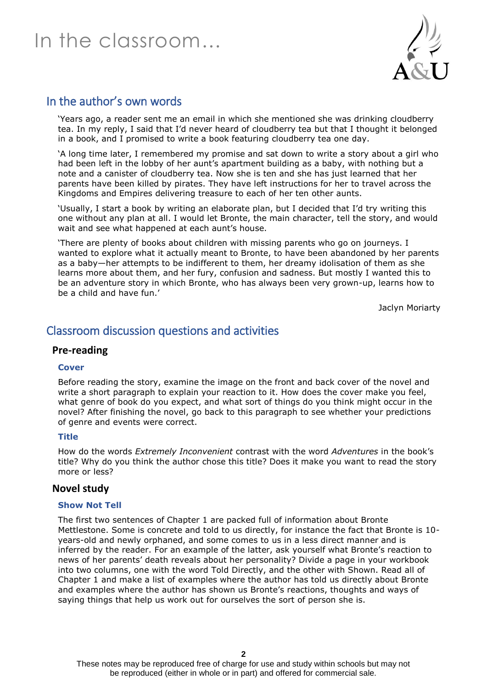# In the classroom…



## In the author's own words

'Years ago, a reader sent me an email in which she mentioned she was drinking cloudberry tea. In my reply, I said that I'd never heard of cloudberry tea but that I thought it belonged in a book, and I promised to write a book featuring cloudberry tea one day.

'A long time later, I remembered my promise and sat down to write a story about a girl who had been left in the lobby of her aunt's apartment building as a baby, with nothing but a note and a canister of cloudberry tea. Now she is ten and she has just learned that her parents have been killed by pirates. They have left instructions for her to travel across the Kingdoms and Empires delivering treasure to each of her ten other aunts.

'Usually, I start a book by writing an elaborate plan, but I decided that I'd try writing this one without any plan at all. I would let Bronte, the main character, tell the story, and would wait and see what happened at each aunt's house.

'There are plenty of books about children with missing parents who go on journeys. I wanted to explore what it actually meant to Bronte, to have been abandoned by her parents as a baby—her attempts to be indifferent to them, her dreamy idolisation of them as she learns more about them, and her fury, confusion and sadness. But mostly I wanted this to be an adventure story in which Bronte, who has always been very grown-up, learns how to be a child and have fun.'

Jaclyn Moriarty

## Classroom discussion questions and activities

#### **Pre-reading**

#### **Cover**

Before reading the story, examine the image on the front and back cover of the novel and write a short paragraph to explain your reaction to it. How does the cover make you feel, what genre of book do you expect, and what sort of things do you think might occur in the novel? After finishing the novel, go back to this paragraph to see whether your predictions of genre and events were correct.

#### **Title**

How do the words *Extremely Inconvenient* contrast with the word *Adventures* in the book's title? Why do you think the author chose this title? Does it make you want to read the story more or less?

#### **Novel study**

#### **Show Not Tell**

The first two sentences of Chapter 1 are packed full of information about Bronte Mettlestone. Some is concrete and told to us directly, for instance the fact that Bronte is 10 years-old and newly orphaned, and some comes to us in a less direct manner and is inferred by the reader. For an example of the latter, ask yourself what Bronte's reaction to news of her parents' death reveals about her personality? Divide a page in your workbook into two columns, one with the word Told Directly, and the other with Shown. Read all of Chapter 1 and make a list of examples where the author has told us directly about Bronte and examples where the author has shown us Bronte's reactions, thoughts and ways of saying things that help us work out for ourselves the sort of person she is.

These notes may be reproduced free of charge for use and study within schools but may not be reproduced (either in whole or in part) and offered for commercial sale.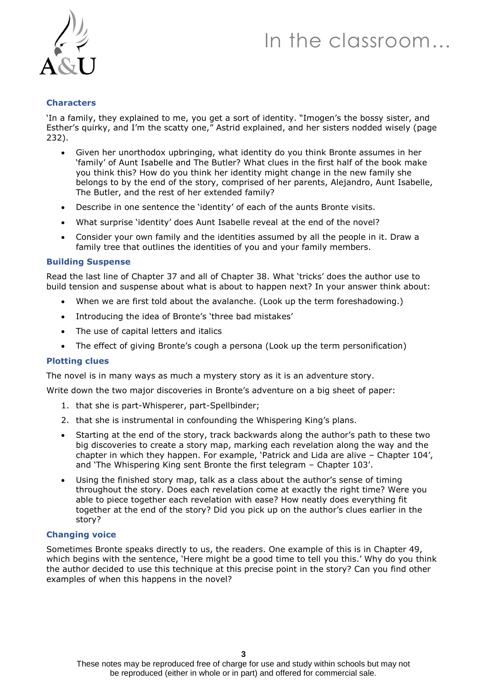# In the classroom…



#### **Characters**

'In a family, they explained to me, you get a sort of identity. "Imogen's the bossy sister, and Esther's quirky, and I'm the scatty one," Astrid explained, and her sisters nodded wisely (page 232).

- Given her unorthodox upbringing, what identity do you think Bronte assumes in her 'family' of Aunt Isabelle and The Butler? What clues in the first half of the book make you think this? How do you think her identity might change in the new family she belongs to by the end of the story, comprised of her parents, Alejandro, Aunt Isabelle, The Butler, and the rest of her extended family?
- Describe in one sentence the 'identity' of each of the aunts Bronte visits.
- What surprise 'identity' does Aunt Isabelle reveal at the end of the novel?
- Consider your own family and the identities assumed by all the people in it. Draw a family tree that outlines the identities of you and your family members.

#### **Building Suspense**

Read the last line of Chapter 37 and all of Chapter 38. What 'tricks' does the author use to build tension and suspense about what is about to happen next? In your answer think about:

- When we are first told about the avalanche. (Look up the term foreshadowing.)
- Introducing the idea of Bronte's 'three bad mistakes'
- The use of capital letters and italics
- The effect of giving Bronte's cough a persona (Look up the term personification)

#### **Plotting clues**

The novel is in many ways as much a mystery story as it is an adventure story.

Write down the two major discoveries in Bronte's adventure on a big sheet of paper:

- 1. that she is part-Whisperer, part-Spellbinder;
- 2. that she is instrumental in confounding the Whispering King's plans.
- Starting at the end of the story, track backwards along the author's path to these two big discoveries to create a story map, marking each revelation along the way and the chapter in which they happen. For example, 'Patrick and Lida are alive – Chapter 104', and 'The Whispering King sent Bronte the first telegram – Chapter 103'.
- Using the finished story map, talk as a class about the author's sense of timing throughout the story. Does each revelation come at exactly the right time? Were you able to piece together each revelation with ease? How neatly does everything fit together at the end of the story? Did you pick up on the author's clues earlier in the story?

#### **Changing voice**

Sometimes Bronte speaks directly to us, the readers. One example of this is in Chapter 49, which begins with the sentence, 'Here might be a good time to tell you this.' Why do you think the author decided to use this technique at this precise point in the story? Can you find other examples of when this happens in the novel?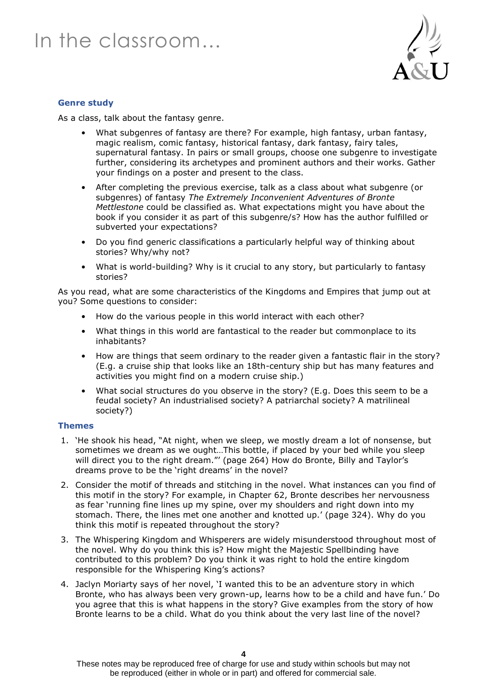

#### **Genre study**

As a class, talk about the fantasy genre.

- What subgenres of fantasy are there? For example, high fantasy, urban fantasy, magic realism, comic fantasy, historical fantasy, dark fantasy, fairy tales, supernatural fantasy. In pairs or small groups, choose one subgenre to investigate further, considering its archetypes and prominent authors and their works. Gather your findings on a poster and present to the class.
- After completing the previous exercise, talk as a class about what subgenre (or subgenres) of fantasy *The Extremely Inconvenient Adventures of Bronte Mettlestone* could be classified as. What expectations might you have about the book if you consider it as part of this subgenre/s? How has the author fulfilled or subverted your expectations?
- Do you find generic classifications a particularly helpful way of thinking about stories? Why/why not?
- What is world-building? Why is it crucial to any story, but particularly to fantasy stories?

As you read, what are some characteristics of the Kingdoms and Empires that jump out at you? Some questions to consider:

- How do the various people in this world interact with each other?
- What things in this world are fantastical to the reader but commonplace to its inhabitants?
- How are things that seem ordinary to the reader given a fantastic flair in the story? (E.g. a cruise ship that looks like an 18th-century ship but has many features and activities you might find on a modern cruise ship.)
- What social structures do you observe in the story? (E.g. Does this seem to be a feudal society? An industrialised society? A patriarchal society? A matrilineal society?)

#### **Themes**

- 1. 'He shook his head, "At night, when we sleep, we mostly dream a lot of nonsense, but sometimes we dream as we ought…This bottle, if placed by your bed while you sleep will direct you to the right dream."' (page 264) How do Bronte, Billy and Taylor's dreams prove to be the 'right dreams' in the novel?
- 2. Consider the motif of threads and stitching in the novel. What instances can you find of this motif in the story? For example, in Chapter 62, Bronte describes her nervousness as fear 'running fine lines up my spine, over my shoulders and right down into my stomach. There, the lines met one another and knotted up.' (page 324). Why do you think this motif is repeated throughout the story?
- 3. The Whispering Kingdom and Whisperers are widely misunderstood throughout most of the novel. Why do you think this is? How might the Majestic Spellbinding have contributed to this problem? Do you think it was right to hold the entire kingdom responsible for the Whispering King's actions?
- 4. Jaclyn Moriarty says of her novel, 'I wanted this to be an adventure story in which Bronte, who has always been very grown-up, learns how to be a child and have fun.' Do you agree that this is what happens in the story? Give examples from the story of how Bronte learns to be a child. What do you think about the very last line of the novel?